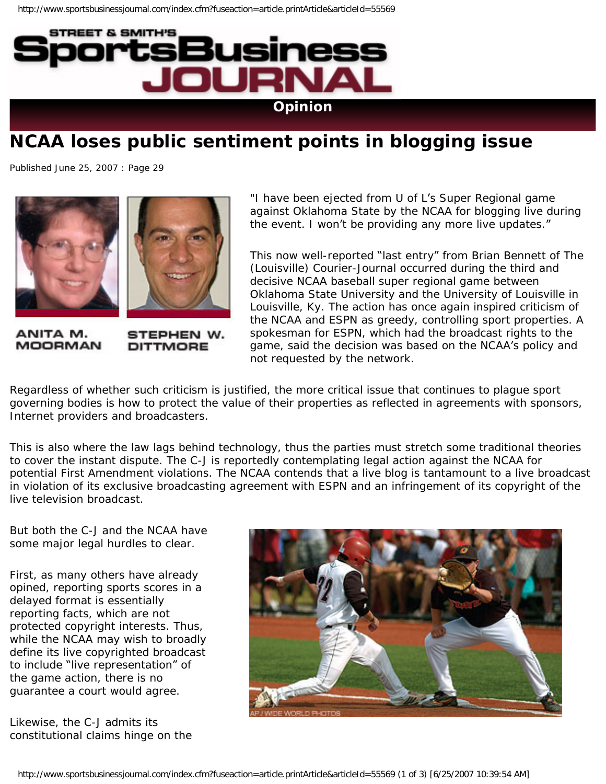

## **NCAA loses public sentiment points in blogging issue**

Published June 25, 2007 : Page 29



ANITA M. **MOORMAN** 

STEPHEN W. **DITTMORE** 

"I have been ejected from U of L's Super Regional game against Oklahoma State by the NCAA for blogging live during the event. I won't be providing any more live updates."

This now well-reported "last entry" from Brian Bennett of The (Louisville) Courier-Journal occurred during the third and decisive NCAA baseball super regional game between Oklahoma State University and the University of Louisville in Louisville, Ky. The action has once again inspired criticism of the NCAA and ESPN as greedy, controlling sport properties. A spokesman for ESPN, which had the broadcast rights to the game, said the decision was based on the NCAA's policy and not requested by the network.

Regardless of whether such criticism is justified, the more critical issue that continues to plague sport governing bodies is how to protect the value of their properties as reflected in agreements with sponsors, Internet providers and broadcasters.

This is also where the law lags behind technology, thus the parties must stretch some traditional theories to cover the instant dispute. The C-J is reportedly contemplating legal action against the NCAA for potential First Amendment violations. The NCAA contends that a live blog is tantamount to a live broadcast in violation of its exclusive broadcasting agreement with ESPN and an infringement of its copyright of the live television broadcast.

But both the C-J and the NCAA have some major legal hurdles to clear.

First, as many others have already opined, reporting sports scores in a delayed format is essentially reporting facts, which are not protected copyright interests. Thus, while the NCAA may wish to broadly define its live copyrighted broadcast to include "live representation" of the game action, there is no guarantee a court would agree.

Likewise, the C-J admits its constitutional claims hinge on the

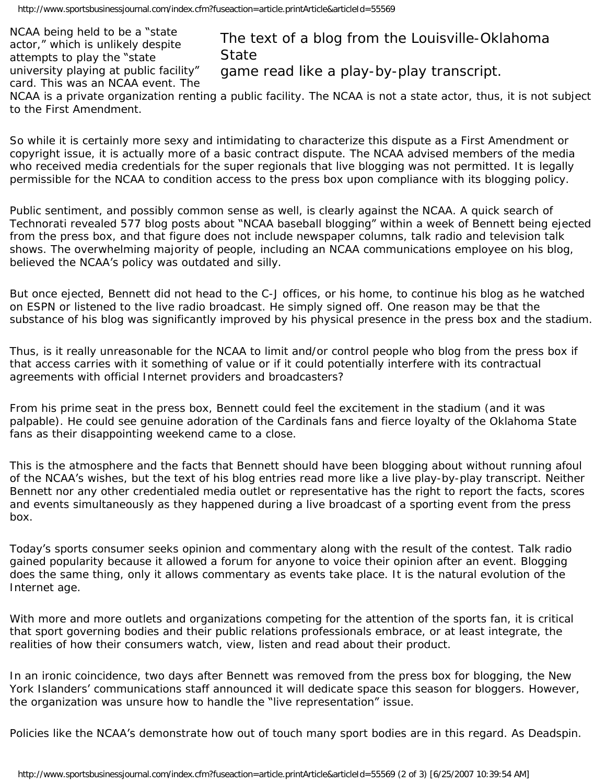NCAA being held to be a "state actor," which is unlikely despite attempts to play the "state university playing at public facility" card. This was an NCAA event. The

## The text of a blog from the Louisville-Oklahoma **State**

game read like a play-by-play transcript.

NCAA is a private organization renting a public facility. The NCAA is not a state actor, thus, it is not subject to the First Amendment.

So while it is certainly more sexy and intimidating to characterize this dispute as a First Amendment or copyright issue, it is actually more of a basic contract dispute. The NCAA advised members of the media who received media credentials for the super regionals that live blogging was not permitted. It is legally permissible for the NCAA to condition access to the press box upon compliance with its blogging policy.

Public sentiment, and possibly common sense as well, is clearly against the NCAA. A quick search of Technorati revealed 577 blog posts about "NCAA baseball blogging" within a week of Bennett being ejected from the press box, and that figure does not include newspaper columns, talk radio and television talk shows. The overwhelming majority of people, including an NCAA communications employee on his blog, believed the NCAA's policy was outdated and silly.

But once ejected, Bennett did not head to the C-J offices, or his home, to continue his blog as he watched on ESPN or listened to the live radio broadcast. He simply signed off. One reason may be that the substance of his blog was significantly improved by his physical presence in the press box and the stadium.

Thus, is it really unreasonable for the NCAA to limit and/or control people who blog from the press box if that access carries with it something of value or if it could potentially interfere with its contractual agreements with official Internet providers and broadcasters?

From his prime seat in the press box, Bennett could feel the excitement in the stadium (and it was palpable). He could see genuine adoration of the Cardinals fans and fierce loyalty of the Oklahoma State fans as their disappointing weekend came to a close.

This is the atmosphere and the facts that Bennett should have been blogging about without running afoul of the NCAA's wishes, but the text of his blog entries read more like a live play-by-play transcript. Neither Bennett nor any other credentialed media outlet or representative has the right to report the facts, scores and events simultaneously as they happened during a live broadcast of a sporting event from the press box.

Today's sports consumer seeks opinion and commentary along with the result of the contest. Talk radio gained popularity because it allowed a forum for anyone to voice their opinion after an event. Blogging does the same thing, only it allows commentary as events take place. It is the natural evolution of the Internet age.

With more and more outlets and organizations competing for the attention of the sports fan, it is critical that sport governing bodies and their public relations professionals embrace, or at least integrate, the realities of how their consumers watch, view, listen and read about their product.

In an ironic coincidence, two days after Bennett was removed from the press box for blogging, the New York Islanders' communications staff announced it will dedicate space this season for bloggers. However, the organization was unsure how to handle the "live representation" issue.

Policies like the NCAA's demonstrate how out of touch many sport bodies are in this regard. As Deadspin.